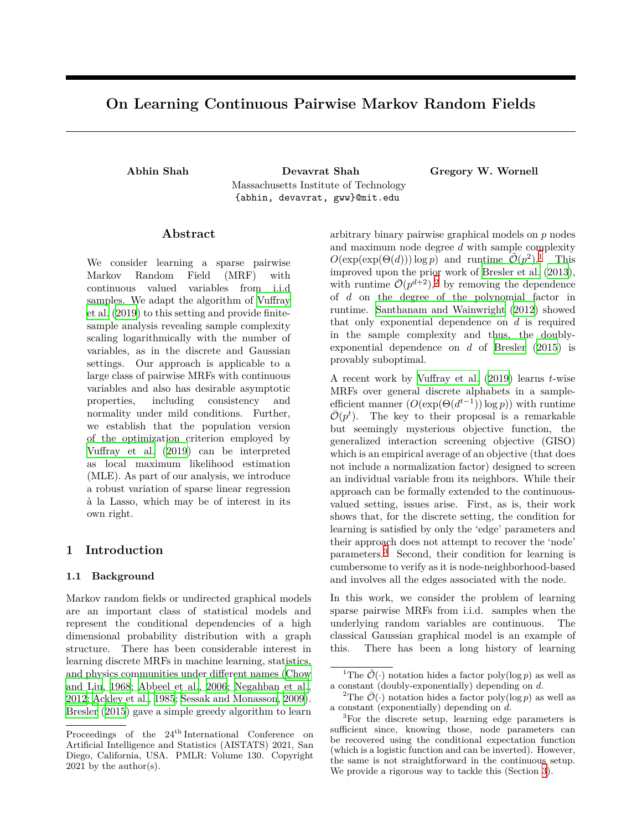# **On Learning Continuous Pairwise Markov Random Fields**

**Abhin Shah Devavrat Shah Gregory W. Wornell** Massachusetts Institute of Technology {abhin, devavrat, gww}@mit.edu

### **Abstract**

We consider learning a sparse pairwise Markov Random Field (MRF) with continuous valued variables from i.i.d samples. We adapt the algorithm of [Vuffray](#page-10-0) [et al.](#page-10-0) ([2019](#page-10-0)) to this setting and provide finitesample analysis revealing sample complexity scaling logarithmically with the number of variables, as in the discrete and Gaussian settings. Our approach is applicable to a large class of pairwise MRFs with continuous variables and also has desirable asymptotic properties, including consistency and normality under mild conditions. Further, we establish that the population version of the optimization criterion employed by [Vuffray et al.](#page-10-0) ([2019\)](#page-10-0) can be interpreted as local maximum likelihood estimation (MLE). As part of our analysis, we introduce a robust variation of sparse linear regression à la Lasso, which may be of interest in its own right.

### **1 Introduction**

#### **1.1 Background**

Markov random fields or undirected graphical models are an important class of statistical models and represent the conditional dependencies of a high dimensional probability distribution with a graph structure. There has been considerable interest in learning discrete MRFs in machine learning, statistics, and physics communities under different names [\(Chow](#page-9-0) [and Liu, 1968;](#page-9-0) [Abbeel et al., 2006;](#page-9-1) [Negahban et al.](#page-10-1), [2012;](#page-10-1) [Ackley et al., 1985](#page-9-2); [Sessak and Monasson, 2009](#page-10-2)). [Bresler](#page-9-3) [\(2015](#page-9-3)) gave a simple greedy algorithm to learn arbitrary binary pairwise graphical models on *p* nodes and maximum node degree *d* with sample complexity  $O(\exp(\exp(\Theta(d))) \log p)$  and runtime  $\tilde{O}(p^2)$ .<sup>[1](#page-0-0)</sup> This improved upon the prior work of [Bresler et al.](#page-9-4) [\(2013](#page-9-4)), with runtime  $\bar{\mathcal{O}}(p^{d+2}),^2$  $\bar{\mathcal{O}}(p^{d+2}),^2$  $\bar{\mathcal{O}}(p^{d+2}),^2$  by removing the dependence of *d* on the degree of the polynomial factor in runtime. [Santhanam and Wainwright](#page-10-3) [\(2012](#page-10-3)) showed that only exponential dependence on *d* is required in the sample complexity and thus, the doublyexponential dependence on *d* of [Bresler](#page-9-3) [\(2015\)](#page-9-3) is provably suboptimal.

A recent work by [Vuffray et al.](#page-10-0) ([2019\)](#page-10-0) learns *t*-wise MRFs over general discrete alphabets in a sampleefficient manner  $(O(\exp(\Theta(d^{t-1})) \log p))$  with runtime  $\overline{\mathcal{O}}(p^t)$ . The key to their proposal is a remarkable but seemingly mysterious objective function, the generalized interaction screening objective (GISO) which is an empirical average of an objective (that does not include a normalization factor) designed to screen an individual variable from its neighbors. While their approach can be formally extended to the continuousvalued setting, issues arise. First, as is, their work shows that, for the discrete setting, the condition for learning is satisfied by only the 'edge' parameters and their approach does not attempt to recover the 'node' parameters.[3](#page-0-2) Second, their condition for learning is cumbersome to verify as it is node-neighborhood-based and involves all the edges associated with the node.

In this work, we consider the problem of learning sparse pairwise MRFs from i.i.d. samples when the underlying random variables are continuous. The classical Gaussian graphical model is an example of this. There has been a long history of learning

Proceedings of the  $24^{\text{th}}$ International Conference on Artificial Intelligence and Statistics (AISTATS) 2021, San Diego, California, USA. PMLR: Volume 130. Copyright 2021 by the author(s).

<span id="page-0-0"></span><sup>&</sup>lt;sup>1</sup>The  $\tilde{\mathcal{O}}(\cdot)$  notation hides a factor poly(log *p*) as well as a constant (doubly-exponentially) depending on *d*.

<span id="page-0-1"></span><sup>&</sup>lt;sup>2</sup>The  $\overline{\mathcal{O}}(\cdot)$  notation hides a factor poly(log *p*) as well as a constant (exponentially) depending on *d*.

<span id="page-0-2"></span><sup>3</sup>For the discrete setup, learning edge parameters is sufficient since, knowing those, node parameters can be recovered using the conditional expectation function (which is a logistic function and can be inverted). However, the same is not straightforward in the continuous setup. We provide a rigorous way to tackle this (Section [3\)](#page-5-0).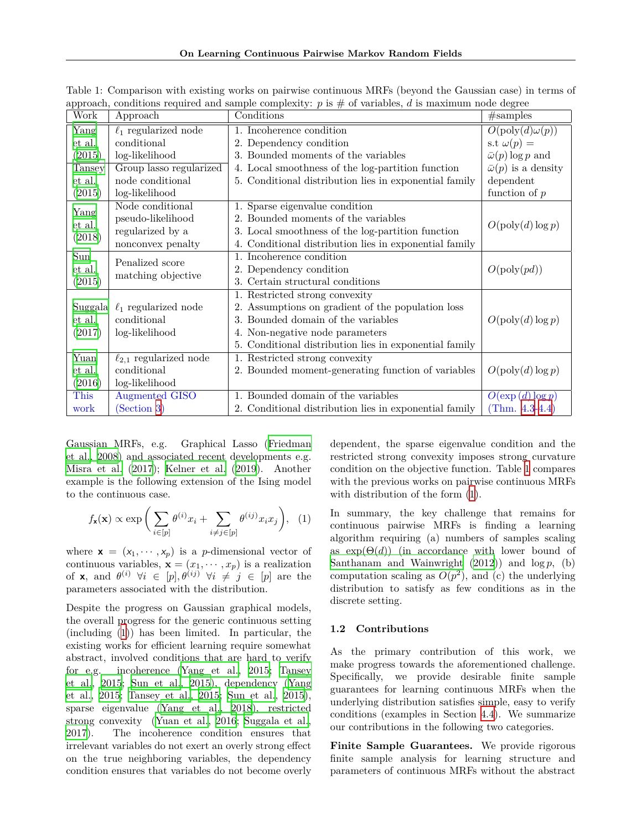| Work                     | Approach                      | Conditions                                             | #samples                       |  |  |
|--------------------------|-------------------------------|--------------------------------------------------------|--------------------------------|--|--|
| Yang                     | $\ell_1$ regularized node     | 1. Incoherence condition                               | $O(\text{poly}(d)\omega(p))$   |  |  |
| et al.                   | conditional                   | 2. Dependency condition                                | s.t $\omega(p) =$              |  |  |
| (2015)                   | log-likelihood                | 3. Bounded moments of the variables                    | $\bar{\omega}(p) \log p$ and   |  |  |
| Tansey                   | Group lasso regularized       | 4. Local smoothness of the log-partition function      | $\bar{\omega}(p)$ is a density |  |  |
| et al.                   | node conditional              | 5. Conditional distribution lies in exponential family | dependent                      |  |  |
| (2015)                   | log-likelihood                |                                                        | function of $p$                |  |  |
| Yang<br>et al.<br>(2018) | Node conditional              | 1. Sparse eigenvalue condition                         |                                |  |  |
|                          | pseudo-likelihood             | 2. Bounded moments of the variables                    | O(poly(d) log p)               |  |  |
|                          | regularized by a              | 3. Local smoothness of the log-partition function      |                                |  |  |
|                          | nonconvex penalty             | 4. Conditional distribution lies in exponential family |                                |  |  |
| $\overline{\text{Sun}}$  | Penalized score               | 1. Incoherence condition                               |                                |  |  |
| et al.                   | matching objective            | 2. Dependency condition                                | $O(\text{poly}(pd))$           |  |  |
| (2015)                   |                               | 3. Certain structural conditions                       |                                |  |  |
|                          |                               | 1. Restricted strong convexity                         |                                |  |  |
| Suggala                  | $\ell_1$ regularized node     | 2. Assumptions on gradient of the population loss      |                                |  |  |
| et al.                   | conditional                   | 3. Bounded domain of the variables                     | O(poly(d) log p)               |  |  |
| (2017)                   | log-likelihood                | 4. Non-negative node parameters                        |                                |  |  |
|                          |                               | 5. Conditional distribution lies in exponential family |                                |  |  |
| Yuan                     | $\ell_{2,1}$ regularized node | 1. Restricted strong convexity                         |                                |  |  |
| et al.                   | conditional                   | 2. Bounded moment-generating function of variables     | $O(poly(d) \log p)$            |  |  |
| (2016)                   | log-likelihood                |                                                        |                                |  |  |
| This                     | <b>Augmented GISO</b>         | 1. Bounded domain of the variables                     | $O(\exp(d) \log p)$            |  |  |
| work                     | (Section 3)                   | 2. Conditional distribution lies in exponential family | (Thm. $4.3-4.4$ )              |  |  |

<span id="page-1-1"></span>Table 1: Comparison with existing works on pairwise continuous MRFs (beyond the Gaussian case) in terms of approach, conditions required and sample complexity:  $p$  is  $\#$  of variables,  $d$  is maximum node degree

Gaussian MRFs, e.g. Graphical Lasso ([Friedman](#page-9-5) [et al., 2008\)](#page-9-5) and associated recent developments e.g. [Misra et al.](#page-10-10) ([2017\)](#page-10-10); [Kelner et al.](#page-9-6) ([2019\)](#page-9-6). Another example is the following extension of the Ising model to the continuous case.

$$
f_{\mathbf{x}}(\mathbf{x}) \propto \exp\bigg(\sum_{i \in [p]} \theta^{(i)} x_i + \sum_{i \neq j \in [p]} \theta^{(ij)} x_i x_j\bigg), \quad (1)
$$

where  $\mathbf{x} = (x_1, \dots, x_p)$  is a *p*-dimensional vector of continuous variables,  $\mathbf{x} = (x_1, \dots, x_p)$  is a realization of **x**, and  $\theta^{(i)}$   $\forall i \in [p], \theta^{(ij)}$   $\forall i \neq j \in [p]$  are the parameters associated with the distribution.

Despite the progress on Gaussian graphical models, the overall progress for the generic continuous setting (including [\(1](#page-1-0))) has been limited. In particular, the existing works for efficient learning require somewhat abstract, involved conditions that are hard to verify for e.g. incoherence ([Yang et al.](#page-10-4), [2015;](#page-10-4) [Tansey](#page-10-5) [et al., 2015](#page-10-5); [Sun et al.](#page-10-7), [2015\)](#page-10-7), dependency ([Yang](#page-10-4) [et al., 2015;](#page-10-4) [Tansey et al., 2015](#page-10-5); [Sun et al., 2015](#page-10-7)), sparse eigenvalue [\(Yang et al., 2018](#page-10-6)), restricted strong convexity [\(Yuan et al., 2016;](#page-10-9) [Suggala et al.](#page-10-8), [2017\)](#page-10-8). The incoherence condition ensures that irrelevant variables do not exert an overly strong effect on the true neighboring variables, the dependency condition ensures that variables do not become overly dependent, the sparse eigenvalue condition and the restricted strong convexity imposes strong curvature condition on the objective function. Table [1](#page-1-1) compares with the previous works on pairwise continuous MRFs with distribution of the form ([1\)](#page-1-0).

<span id="page-1-0"></span>In summary, the key challenge that remains for continuous pairwise MRFs is finding a learning algorithm requiring (a) numbers of samples scaling as  $\exp(\Theta(d))$  (in accordance with lower bound of [Santhanam and Wainwright](#page-10-3)  $(2012)$  $(2012)$  and  $\log p$ , (b) computation scaling as  $O(p^2)$ , and (c) the underlying distribution to satisfy as few conditions as in the discrete setting.

#### **1.2 Contributions**

As the primary contribution of this work, we make progress towards the aforementioned challenge. Specifically, we provide desirable finite sample guarantees for learning continuous MRFs when the underlying distribution satisfies simple, easy to verify conditions (examples in Section [4.4](#page-8-0)). We summarize our contributions in the following two categories.

**Finite Sample Guarantees.** We provide rigorous finite sample analysis for learning structure and parameters of continuous MRFs without the abstract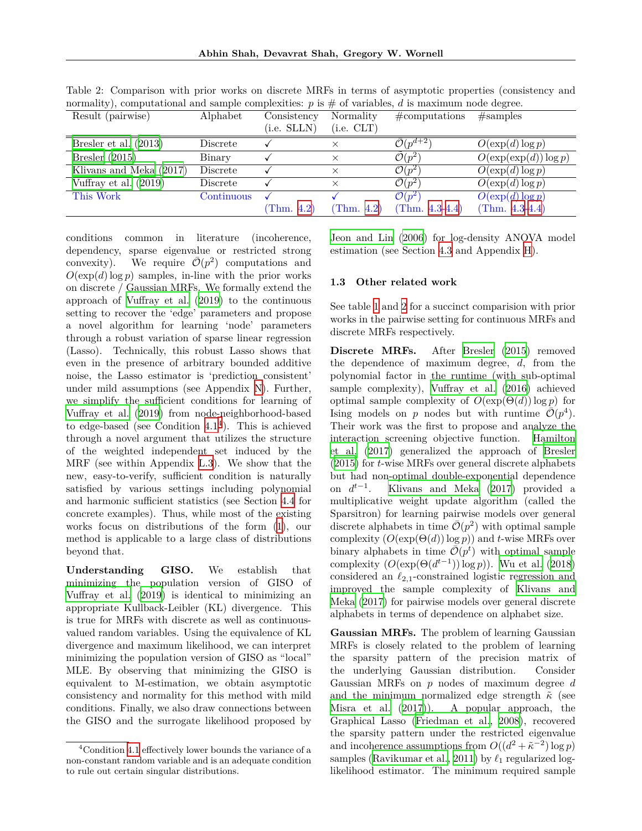**Abhin Shah, Devavrat Shah, Gregory W. Wornell**

| Result (pairwise)       | Alphabet   | Consistency | Normality  | #computations                | #samples                 |
|-------------------------|------------|-------------|------------|------------------------------|--------------------------|
|                         |            | (i.e. SLLN) | (i.e. CLT) |                              |                          |
| Bresler et al. $(2013)$ | Discrete   |             |            | $\bar{\mathcal{O}}(p^{d+2})$ | $O(\exp(d)\log p)$       |
| Bresler $(2015)$        | Binary     |             |            | $\tilde{\mathcal{O}}(p^2)$   | $O(\exp(\exp(d))\log p)$ |
| Klivans and Meka (2017) | Discrete   |             | $\times$   | $\mathcal{O}(p^2)$           | $O(\exp(d)\log p)$       |
| Vuffray et al. $(2019)$ | Discrete   |             |            | $\bar{\mathcal{O}}(p^2)$     | $O(\exp(d)\log p)$       |
| This Work               | Continuous |             |            | $\mathcal{O}(p^2)$           | $O(\exp(d)\log p)$       |
|                         |            | (Thm. 4.2)  | (Thm. 4.2) | (Thm. $4.3-4.4$ )            | (Thm. $4.3-4.4$ )        |

<span id="page-2-1"></span>Table 2: Comparison with prior works on discrete MRFs in terms of asymptotic properties (consistency and normality), computational and sample complexities:  $p$  is  $\#$  of variables,  $d$  is maximum node degree.

conditions common in literature (incoherence, dependency, sparse eigenvalue or restricted strong convexity). We require  $\overline{\mathcal{O}}(p^2)$  computations and  $O(\exp(d) \log p)$  samples, in-line with the prior works on discrete / Gaussian MRFs. We formally extend the approach of [Vuffray et al.](#page-10-0) [\(2019](#page-10-0)) to the continuous setting to recover the 'edge' parameters and propose a novel algorithm for learning 'node' parameters through a robust variation of sparse linear regression (Lasso). Technically, this robust Lasso shows that even in the presence of arbitrary bounded additive noise, the Lasso estimator is 'prediction consistent' under mild assumptions (see Appendix N). Further, we simplify the sufficient conditions for learning of [Vuffray et al.](#page-10-0) [\(2019](#page-10-0)) from node-neighborhood-based to edge-based (see Condition  $4.1<sup>4</sup>$  $4.1<sup>4</sup>$ ). This is achieved through a novel argument that utilizes the structure of the weighted independent set induced by the MRF (see within Appendix L.3). We show that the new, easy-to-verify, sufficient condition is naturally satisfied by various settings including polynomial and harmonic sufficient statistics (see Section [4.4](#page-8-0) for concrete examples). Thus, while most of the existing works focus on distributions of the form [\(1](#page-1-0)), our method is applicable to a large class of distributions beyond that.

**Understanding GISO.** We establish that minimizing the population version of GISO of [Vuffray et al.](#page-10-0) [\(2019](#page-10-0)) is identical to minimizing an appropriate Kullback-Leibler (KL) divergence. This is true for MRFs with discrete as well as continuousvalued random variables. Using the equivalence of KL divergence and maximum likelihood, we can interpret minimizing the population version of GISO as "local" MLE. By observing that minimizing the GISO is equivalent to M-estimation, we obtain asymptotic consistency and normality for this method with mild conditions. Finally, we also draw connections between the GISO and the surrogate likelihood proposed by [Jeon and Lin](#page-9-8) [\(2006](#page-9-8)) for log-density ANOVA model estimation (see Section [4.3](#page-7-4) and Appendix H).

#### **1.3 Other related work**

See table [1](#page-1-1) and [2](#page-2-1) for a succinct comparision with prior works in the pairwise setting for continuous MRFs and discrete MRFs respectively.

**Discrete MRFs.** After [Bresler](#page-9-3) [\(2015](#page-9-3)) removed the dependence of maximum degree, *d*, from the polynomial factor in the runtime (with sub-optimal sample complexity), [Vuffray et al.](#page-10-11) ([2016\)](#page-10-11) achieved optimal sample complexity of  $O(\exp(\Theta(d)) \log p)$  for Ising models on *p* nodes but with runtime  $\overline{\mathcal{O}}(p^4)$ . Their work was the first to propose and analyze the interaction screening objective function. [Hamilton](#page-9-9) [et al.](#page-9-9) [\(2017](#page-9-9)) generalized the approach of [Bresler](#page-9-3) ([2015\)](#page-9-3) for *t*-wise MRFs over general discrete alphabets but had non-optimal double-exponential dependence on  $d^{t-1}$ . [Klivans and Meka](#page-9-7) [\(2017](#page-9-7)) provided a multiplicative weight update algorithm (called the Sparsitron) for learning pairwise models over general discrete alphabets in time  $\overline{\mathcal{O}}(p^2)$  with optimal sample complexity  $(O(\exp(\Theta(d)) \log p))$  and *t*-wise MRFs over binary alphabets in time  $\overline{\mathcal{O}}(p^t)$  with optimal sample complexity  $(O(\exp(\Theta(d^{t-1})) \log p))$ . [Wu et al.](#page-10-12) [\(2018](#page-10-12)) considered an  $\ell_{2,1}$ -constrained logistic regression and improved the sample complexity of [Klivans and](#page-9-7) [Meka](#page-9-7) ([2017\)](#page-9-7) for pairwise models over general discrete alphabets in terms of dependence on alphabet size.

**Gaussian MRFs.** The problem of learning Gaussian MRFs is closely related to the problem of learning the sparsity pattern of the precision matrix of the underlying Gaussian distribution. Consider Gaussian MRFs on *p* nodes of maximum degree *d* and the minimum normalized edge strength  $\tilde{\kappa}$  (see [Misra et al.](#page-10-10) ([2017\)](#page-10-10)). A popular approach, the Graphical Lasso ([Friedman et al.](#page-9-5), [2008\)](#page-9-5), recovered the sparsity pattern under the restricted eigenvalue and incoherence assumptions from  $O((d^2 + \tilde{\kappa}^{-2}) \log p)$ samples [\(Ravikumar et al.](#page-10-13), [2011](#page-10-13)) by *ℓ*<sup>1</sup> regularized loglikelihood estimator. The minimum required sample

<span id="page-2-0"></span><sup>&</sup>lt;sup>4</sup>Condition [4.1](#page-7-3) effectively lower bounds the variance of a non-constant random variable and is an adequate condition to rule out certain singular distributions.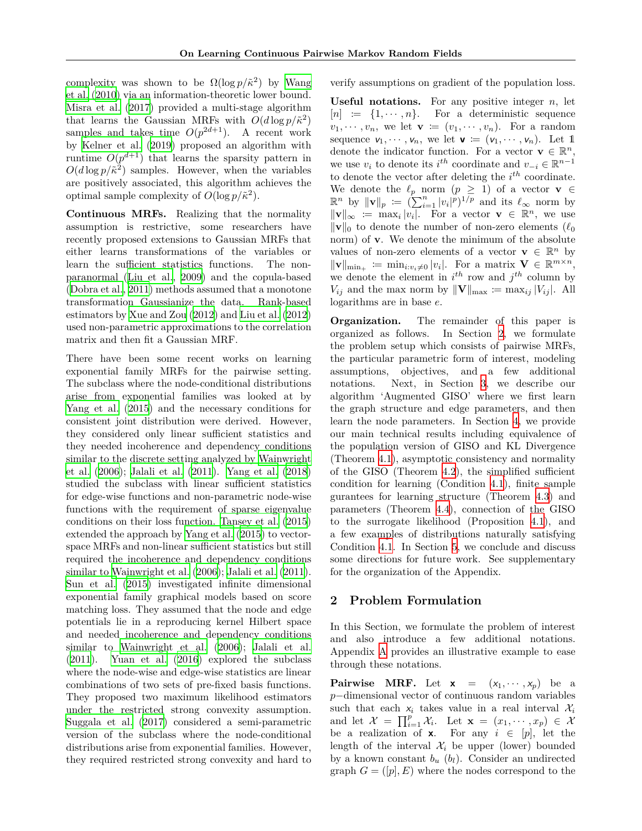complexity was shown to be  $\Omega(\log p/\tilde{\kappa}^2)$  by [Wang](#page-10-14) [et al.](#page-10-14) [\(2010](#page-10-14)) via an information-theoretic lower bound. [Misra et al.](#page-10-10) [\(2017](#page-10-10)) provided a multi-stage algorithm that learns the Gaussian MRFs with  $O(d \log p/\tilde{\kappa}^2)$ samples and takes time  $O(p^{2d+1})$ . A recent work by [Kelner et al.](#page-9-6) ([2019](#page-9-6)) proposed an algorithm with runtime  $O(p^{d+1})$  that learns the sparsity pattern in  $O(d \log p / \tilde{\kappa}^2)$  samples. However, when the variables are positively associated, this algorithm achieves the optimal sample complexity of  $O(\log p/\tilde{\kappa}^2)$ .

**Continuous MRFs.** Realizing that the normality assumption is restrictive, some researchers have recently proposed extensions to Gaussian MRFs that either learns transformations of the variables or learn the sufficient statistics functions. The nonparanormal ([Liu et al., 2009](#page-9-10)) and the copula-based ([Dobra et al.](#page-9-11), [2011](#page-9-11)) methods assumed that a monotone transformation Gaussianize the data. Rank-based estimators by [Xue and Zou](#page-10-15) [\(2012](#page-10-15)) and [Liu et al.](#page-9-12) [\(2012](#page-9-12)) used non-parametric approximations to the correlation matrix and then fit a Gaussian MRF.

There have been some recent works on learning exponential family MRFs for the pairwise setting. The subclass where the node-conditional distributions arise from exponential families was looked at by [Yang et al.](#page-10-4) [\(2015](#page-10-4)) and the necessary conditions for consistent joint distribution were derived. However, they considered only linear sufficient statistics and they needed incoherence and dependency conditions similar to the discrete setting analyzed by [Wainwright](#page-10-16) [et al.](#page-10-16) ([2006\)](#page-10-16); [Jalali et al.](#page-9-13) ([2011\)](#page-9-13). [Yang et al.](#page-10-6) [\(2018](#page-10-6)) studied the subclass with linear sufficient statistics for edge-wise functions and non-parametric node-wise functions with the requirement of sparse eigenvalue conditions on their loss function. [Tansey et al.](#page-10-5) [\(2015](#page-10-5)) extended the approach by [Yang et al.](#page-10-4) [\(2015](#page-10-4)) to vectorspace MRFs and non-linear sufficient statistics but still required the incoherence and dependency conditions similar to [Wainwright et al.](#page-10-16) [\(2006](#page-10-16)); [Jalali et al.](#page-9-13) [\(2011](#page-9-13)). [Sun et al.](#page-10-7) ([2015\)](#page-10-7) investigated infinite dimensional exponential family graphical models based on score matching loss. They assumed that the node and edge potentials lie in a reproducing kernel Hilbert space and needed incoherence and dependency conditions similar to [Wainwright et al.](#page-10-16) [\(2006\)](#page-10-16); [Jalali et al.](#page-9-13) ([2011\)](#page-9-13). [Yuan et al.](#page-10-9) [\(2016](#page-10-9)) explored the subclass where the node-wise and edge-wise statistics are linear combinations of two sets of pre-fixed basis functions. They proposed two maximum likelihood estimators under the restricted strong convexity assumption. [Suggala et al.](#page-10-8) [\(2017](#page-10-8)) considered a semi-parametric version of the subclass where the node-conditional distributions arise from exponential families. However, they required restricted strong convexity and hard to verify assumptions on gradient of the population loss.

**Useful notations.** For any positive integer *n*, let  $[n] \equiv \{1, \dots, n\}.$  For a deterministic sequence  $v_1, \dots, v_n$ , we let  $\mathbf{v} := (v_1, \dots, v_n)$ . For a random sequence  $v_1, \dots, v_n$ , we let  $\mathbf{v} := (v_1, \dots, v_n)$ . Let 1 denote the indicator function. For a vector  $\mathbf{v} \in \mathbb{R}^n$ , we use  $v_i$  to denote its  $i^{th}$  coordinate and  $v_{-i} \in \mathbb{R}^{n-1}$ to denote the vector after deleting the *i th* coordinate. We denote the  $\ell_p$  norm  $(p \geq 1)$  of a vector **v**  $\in$  $\mathbb{R}^n$  by  $\|\mathbf{v}\|_p := (\sum_{i=1}^n |v_i|^p)^{1/p}$  and its  $\ell_\infty$  norm by *∥***v***∥<sup>∞</sup>* := max*<sup>i</sup> |vi |*. For a vector **v** *∈* R *<sup>n</sup>*, we use *∥***v***∥*<sup>0</sup> to denote the number of non-zero elements (*ℓ*<sup>0</sup> norm) of **v**. We denote the minimum of the absolute values of non-zero elements of a vector  $\mathbf{v} \in \mathbb{R}^n$  by  $||\mathbf{v}||_{\min_+} := \min_{i:v_i \neq 0} |v_i|$ . For a matrix  $\mathbf{V} \in \mathbb{R}^{m \times n}$ , we denote the element in  $i^{th}$  row and  $j^{th}$  column by *V*<sup>*i*</sup>j and the max norm by  $\|\mathbf{V}\|_{\text{max}} \coloneqq \max_{ij} |V_{ij}|$ . All logarithms are in base *e*.

**Organization.** The remainder of this paper is organized as follows. In Section [2](#page-3-0), we formulate the problem setup which consists of pairwise MRFs, the particular parametric form of interest, modeling assumptions, objectives, and a few additional notations. Next, in Section [3,](#page-5-0) we describe our algorithm 'Augmented GISO' where we first learn the graph structure and edge parameters, and then learn the node parameters. In Section [4,](#page-6-0) we provide our main technical results including equivalence of the population version of GISO and KL Divergence (Theorem [4.1\)](#page-6-1), asymptotic consistency and normality of the GISO (Theorem [4.2\)](#page-7-2), the simplified sufficient condition for learning (Condition [4.1\)](#page-7-3), finite sample gurantees for learning structure (Theorem [4.3\)](#page-7-0) and parameters (Theorem [4.4\)](#page-7-1), connection of the GISO to the surrogate likelihood (Proposition [4.1](#page-7-5)), and a few examples of distributions naturally satisfying Condition [4.1.](#page-7-3) In Section [5](#page-8-1), we conclude and discuss some directions for future work. See supplementary for the organization of the Appendix.

### <span id="page-3-0"></span>**2 Problem Formulation**

In this Section, we formulate the problem of interest and also introduce a few additional notations. Appendix A provides an illustrative example to ease through these notations.

**Pairwise MRF.** Let  $\mathbf{x} = (x_1, \dots, x_n)$  be a *p*<sup>−</sup>dimensional vector of continuous random variables such that each  $x_i$  takes value in a real interval  $\mathcal{X}_i$ and let  $\mathcal{X} = \prod_{i=1}^{p} \mathcal{X}_i$ . Let  $\mathbf{x} = (x_1, \dots, x_p) \in \mathcal{X}$ be a realization of **x**. For any  $i \in [p]$ , let the length of the interval  $\mathcal{X}_i$  be upper (lower) bounded by a known constant  $b_u$  ( $b_l$ ). Consider an undirected graph  $G = ([p], E)$  where the nodes correspond to the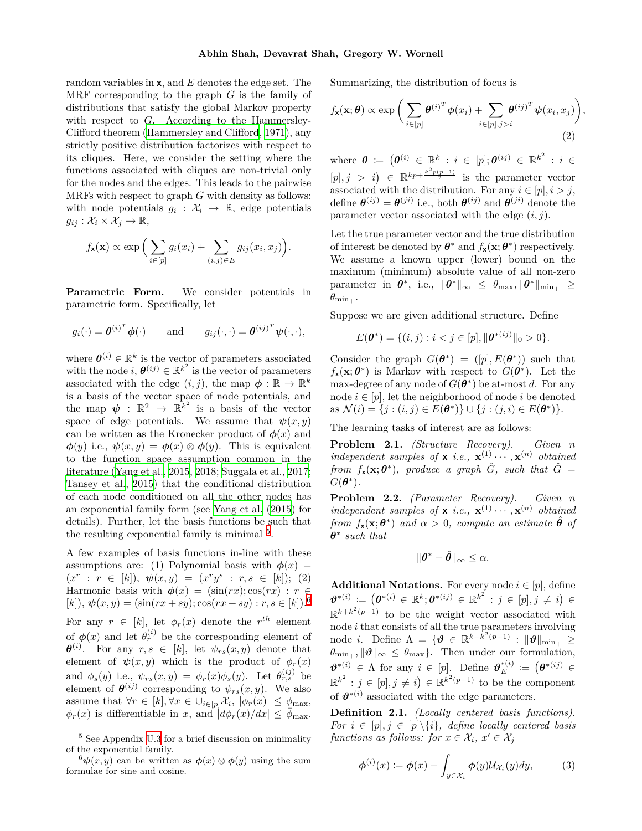random variables in **x**, and *E* denotes the edge set. The MRF corresponding to the graph *G* is the family of distributions that satisfy the global Markov property with respect to *G*. According to the Hammersley-Clifford theorem ([Hammersley and Clifford](#page-9-14), [1971](#page-9-14)), any strictly positive distribution factorizes with respect to its cliques. Here, we consider the setting where the functions associated with cliques are non-trivial only for the nodes and the edges. This leads to the pairwise MRFs with respect to graph *G* with density as follows: with node potentials  $g_i: \mathcal{X}_i \to \mathbb{R}$ , edge potentials  $g_{ij}: \mathcal{X}_i \times \mathcal{X}_j \to \mathbb{R},$ 

$$
f_{\mathbf{x}}(\mathbf{x}) \propto \exp\Big(\sum_{i \in [p]} g_i(x_i) + \sum_{(i,j) \in E} g_{ij}(x_i, x_j)\Big).
$$

**Parametric Form.** We consider potentials in parametric form. Specifically, let

$$
g_i(\cdot) = \boldsymbol{\theta}^{(i)^T} \boldsymbol{\phi}(\cdot)
$$
 and  $g_{ij}(\cdot, \cdot) = \boldsymbol{\theta}^{(ij)^T} \boldsymbol{\psi}(\cdot, \cdot),$ 

where  $\theta^{(i)} \in \mathbb{R}^k$  is the vector of parameters associated with the node  $i, \theta^{(ij)} \in \mathbb{R}^{k^2}$  is the vector of parameters associated with the edge  $(i, j)$ , the map  $\phi : \mathbb{R} \to \mathbb{R}^k$ is a basis of the vector space of node potentials, and the map  $\psi : \mathbb{R}^2 \to \mathbb{R}^{k^2}$  is a basis of the vector space of edge potentials. We assume that  $\psi(x, y)$ can be written as the Kronecker product of  $\phi(x)$  and  $\phi(y)$  i.e.,  $\psi(x,y) = \phi(x) \otimes \phi(y)$ . This is equivalent to the function space assumption common in the literature ([Yang et al., 2015,](#page-10-4) [2018](#page-10-6); [Suggala et al.](#page-10-8), [2017](#page-10-8); [Tansey et al., 2015](#page-10-5)) that the conditional distribution of each node conditioned on all the other nodes has an exponential family form (see [Yang et al.](#page-10-4) [\(2015\)](#page-10-4) for details). Further, let the basis functions be such that the resulting exponential family is minimal  $5$ .

A few examples of basis functions in-line with these assumptions are: (1) Polynomial basis with  $\phi(x)$  =  $(x^r : r \in [k]), \psi(x, y) = (x^r y^s : r, s \in [k]); (2)$ Harmonic basis with  $\phi(x) = (\sin(rx); \cos(rx) : r \in$  $[k]$ ,  $\psi(x, y) = (\sin(rx + sy)) \cos(rx + sy) : r, s \in [k])$ .<sup>[6](#page-4-1)</sup> For any  $r \in [k]$ , let  $\phi_r(x)$  denote the  $r^{th}$  element of  $\phi(x)$  and let  $\theta_r^{(i)}$  be the corresponding element of  $\theta^{(i)}$ . For any  $r, s \in [k]$ , let  $\psi_{rs}(x, y)$  denote that element of  $\psi(x, y)$  which is the product of  $\phi_r(x)$ and  $\phi_s(y)$  i.e.,  $\psi_{rs}(x, y) = \phi_r(x)\phi_s(y)$ . Let  $\theta_{r,s}^{(ij)}$  be element of  $\theta^{(ij)}$  corresponding to  $\psi_{rs}(x, y)$ . We also assume that  $\forall r \in [k], \forall x \in \cup_{i \in [p]} \mathcal{X}_i, |\phi_r(x)| \leq \phi_{\max}$ ,  $\phi_r(x)$  is differentiable in *x*, and  $\phi_r(x)/dx \leq \bar{\phi}_{\text{max}}$ .

Summarizing, the distribution of focus is

<span id="page-4-2"></span>
$$
f_{\mathbf{x}}(\mathbf{x};\boldsymbol{\theta}) \propto \exp\bigg(\sum_{i\in[p]}\boldsymbol{\theta}^{(i)^{T}}\boldsymbol{\phi}(x_{i}) + \sum_{i\in[p],j>i}\boldsymbol{\theta}^{(ij)^{T}}\boldsymbol{\psi}(x_{i},x_{j})\bigg),\tag{2}
$$

 $\mathbf{w} = \mathbf{\theta} := (\mathbf{\theta}^{(i)} \in \mathbb{R}^k : i \in [p]; \mathbf{\theta}^{(ij)} \in \mathbb{R}^{k^2} : i \in \mathbb{R}^k$  $[p], j > i$   $\in \mathbb{R}^{kp + \frac{k^2p(p-1)}{2}}$  is the parameter vector associated with the distribution. For any  $i \in [p], i > j$ , define  $\theta^{(ij)} = \theta^{(ji)}$  i.e., both  $\theta^{(ij)}$  and  $\theta^{(ji)}$  denote the parameter vector associated with the edge (*i, j*).

Let the true parameter vector and the true distribution of interest be denoted by  $\theta^*$  and  $f_{\mathbf{x}}(\mathbf{x}; \theta^*)$  respectively. We assume a known upper (lower) bound on the maximum (minimum) absolute value of all non-zero  $\text{parameter in } \theta^*, \text{ i.e., } \|\theta^*\|_{\infty} \leq \theta_{\text{max}}, \|\theta^*\|_{\text{min}_+} \geq$  $\theta_{\min_+}$ .

Suppose we are given additional structure. Define

$$
E(\theta^*) = \{(i, j) : i < j \in [p], \|\theta^{*(ij)}\|_0 > 0\}.
$$

Consider the graph  $G(\theta^*) = ([p], E(\theta^*))$  such that  $f_{\mathbf{x}}(\mathbf{x}; \boldsymbol{\theta}^*)$  is Markov with respect to  $G(\boldsymbol{\theta}^*)$ . Let the max-degree of any node of  $G(\theta^*)$  be at-most *d*. For any node  $i \in [p]$ , let the neighborhood of node  $i$  be denoted  $\text{as } \mathcal{N}(i) = \{j : (i, j) \in E(\theta^*)\} \cup \{j : (j, i) \in E(\theta^*)\}.$ 

The learning tasks of interest are as follows:

**Problem 2.1.** *(Structure Recovery). Given n independent samples of* **x** *i.e.*,  $\mathbf{x}^{(1)} \cdots, \mathbf{x}^{(n)}$  *obtained from*  $f_{\mathbf{x}}(\mathbf{x}; \boldsymbol{\theta}^*)$ , produce a graph  $\hat{G}$ , such that  $\hat{G}$  =  $G(\boldsymbol{\theta}^*)$ .

**Problem 2.2.** *(Parameter Recovery). Given n independent samples of* **x** *i.e.*,  $\mathbf{x}^{(1)} \cdots, \mathbf{x}^{(n)}$  *obtained from*  $f_{\mathbf{x}}(\mathbf{x}; \boldsymbol{\theta}^*)$  *and*  $\alpha > 0$ *, compute an estimate*  $\hat{\boldsymbol{\theta}}$  *of θ ∗ such that*

$$
\|\boldsymbol{\theta}^*-\hat{\boldsymbol{\theta}}\|_{\infty}\leq\alpha.
$$

**Additional Notations.** For every node  $i \in [p]$ , define  $\boldsymbol{\vartheta}^{*(i)} \coloneqq \left( \boldsymbol{\theta}^{*(i)} \in \mathbb{R}^k; \boldsymbol{\theta}^{*(ij)} \in \mathbb{R}^{k^2} : j \in [p], j \neq i \right) \in$ R *k*+*k* 2 (*p−*1) to be the weight vector associated with node *i* that consists of all the true parameters involving node *i*. Define  $\Lambda = \{ \boldsymbol{\vartheta} \in \mathbb{R}^{k + \tilde{k}^2(p-1)} : ||\boldsymbol{\vartheta}||_{\min_+} \geq 0 \}$  $\theta_{\min_+}, \|\theta\|_{\infty} \leq \theta_{\max}$ . Then under our formulation,  $\boldsymbol{\vartheta}^{*(i)} \in \Lambda$  for any  $i \in [p]$ . Define  $\boldsymbol{\vartheta}_E^{*(i)} := (\boldsymbol{\theta}^{*(ij)} \in$  $\mathbb{R}^{k^2}$  :  $j \in [p], j \neq i$   $\in \mathbb{R}^{k^2(p-1)}$  to be the component of  $\theta^{*(i)}$  associated with the edge parameters.

**Definition 2.1.** *(Locally centered basis functions). For*  $i \in [p], j \in [p] \backslash \{i\}$ *, define locally centered basis functions as follows: for*  $x \in \mathcal{X}_i$ ,  $x' \in \mathcal{X}_j$ 

$$
\phi^{(i)}(x) := \phi(x) - \int_{y \in \mathcal{X}_i} \phi(y) \mathcal{U}_{\mathcal{X}_i}(y) dy, \tag{3}
$$

<span id="page-4-0"></span> $^5$  See Appendix U.3 for a brief discussion on minimality of the exponential family.

<span id="page-4-1"></span> $^{6}\psi(x, y)$  can be written as  $\phi(x) \otimes \phi(y)$  using the sum formulae for sine and cosine.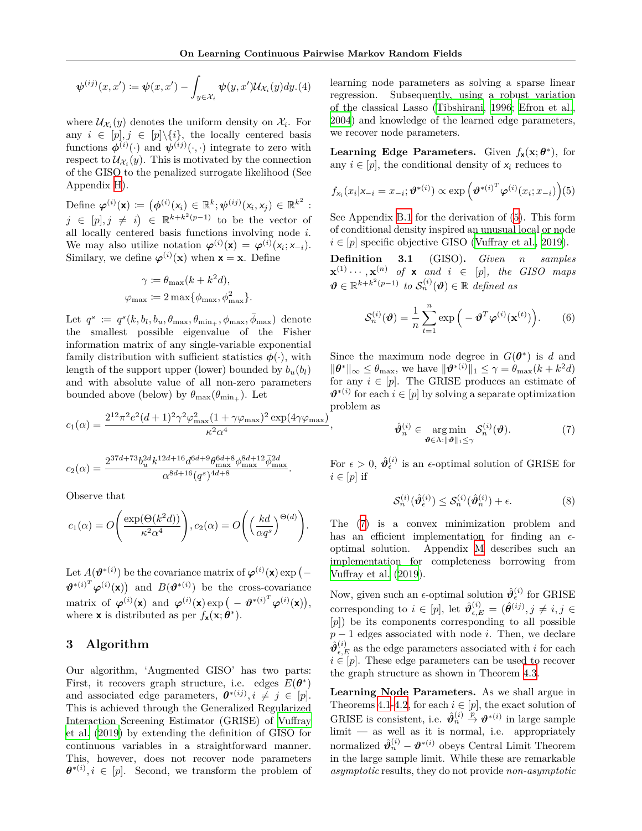$$
\boldsymbol{\psi}^{(ij)}(x,x') \coloneqq \boldsymbol{\psi}(x,x') - \int_{y \in \mathcal{X}_i} \boldsymbol{\psi}(y,x') \mathcal{U}_{\mathcal{X}_i}(y) dy. (4)
$$

where  $\mathcal{U}_{\mathcal{X}_i}(y)$  denotes the uniform density on  $\mathcal{X}_i$ . For any  $i \in [p], j \in [p] \setminus \{i\}$ , the locally centered basis functions  $\phi^{(i)}(\cdot)$  and  $\psi^{(ij)}(\cdot,\cdot)$  integrate to zero with respect to  $\mathcal{U}_{\mathcal{X}_i}(y)$ . This is motivated by the connection of the GISO to the penalized surrogate likelihood (See Appendix H).

Define  $\varphi^{(i)}(\mathbf{x}) \coloneqq (\phi^{(i)}(x_i) \in \mathbb{R}^k; \psi^{(ij)}(x_i, x_j) \in \mathbb{R}^{k^2}$ : *j* ∈ [*p*], *j*  $\neq i$   $|$  ∈ R<sup>*k*+*k*<sup>2</sup>(*p*−1) to be the vector of</sup> all locally centered basis functions involving node *i*. We may also utilize notation  $\varphi^{(i)}(\mathbf{x}) = \varphi^{(i)}(x_i; x_{-i}).$ Similary, we define  $\varphi^{(i)}(\mathbf{x})$  when  $\mathbf{x} = \mathbf{x}$ . Define

$$
\gamma := \theta_{\max}(k + k^2 d),
$$
  

$$
\varphi_{\max} := 2 \max{\phi_{\max}, \phi_{\max}^2}.
$$

Let  $q^s := q^s(k, b_l, b_u, \theta_{\max}, \theta_{\min_+}, \phi_{\max}, \overline{\phi}_{\max})$  denote the smallest possible eigenvalue of the Fisher information matrix of any single-variable exponential family distribution with sufficient statistics  $\phi(\cdot)$ , with length of the support upper (lower) bounded by  $b_u(b_l)$ and with absolute value of all non-zero parameters bounded above (below) by  $\theta_{\text{max}}(\theta_{\text{min}_{+}})$ . Let

$$
c_1(\alpha) = \frac{2^{12} \pi^2 e^2 (d+1)^2 \gamma^2 \varphi_{\text{max}}^2 (1 + \gamma \varphi_{\text{max}})^2 \exp(4 \gamma \varphi_{\text{max}})}{\kappa^2 \alpha^4},
$$

$$
c_2(\alpha)=\frac{2^{37d+73}b_u^{2d}k^{12d+16}d^{6d+9}\theta_{\max}^{6d+8}\phi_{\max}^{8d+12}\bar{\phi}_{\max}^{2d}}{\alpha^{8d+16}(q^s)^{4d+8}}.
$$

Observe that

$$
c_1(\alpha) = O\left(\frac{\exp(\Theta(k^2 d))}{\kappa^2 \alpha^4}\right), c_2(\alpha) = O\left(\left(\frac{kd}{\alpha q^s}\right)^{\Theta(d)}\right).
$$

Let  $A(\boldsymbol{\vartheta}^{*(i)})$  be the covariance matrix of  $\boldsymbol{\varphi}^{(i)}(\mathbf{x})$  exp (- $\theta^{*(i)T} \varphi^{(i)}(\mathbf{x})$  and  $B(\theta^{*(i)})$  be the cross-covariance matrix of  $\varphi^{(i)}(\mathbf{x})$  and  $\varphi^{(i)}(\mathbf{x}) \exp(-\boldsymbol{\vartheta}^{*(i)^T} \varphi^{(i)}(\mathbf{x})),$ where **x** is distributed as per  $f_{\mathbf{x}}(\mathbf{x}; \theta^*)$ .

### <span id="page-5-0"></span>**3 Algorithm**

Our algorithm, 'Augmented GISO' has two parts: First, it recovers graph structure, i.e. edges  $E(\theta^*)$ and associated edge parameters,  $\boldsymbol{\theta}^{*(ij)}$ ,  $i \neq j \in [p]$ . This is achieved through the Generalized Regularized Interaction Screening Estimator (GRISE) of [Vuffray](#page-10-0) [et al.](#page-10-0) ([2019](#page-10-0)) by extending the definition of GISO for continuous variables in a straightforward manner. This, however, does not recover node parameters  $\theta^{*(i)}$ ,  $i \in [p]$ . Second, we transform the problem of learning node parameters as solving a sparse linear regression. Subsequently, using a robust variation of the classical Lasso [\(Tibshirani](#page-10-17), [1996](#page-10-17); [Efron et al.](#page-9-15), [2004\)](#page-9-15) and knowledge of the learned edge parameters, we recover node parameters.

**Learning Edge Parameters.** Given  $f_{\mathbf{x}}(\mathbf{x}; \theta^*)$ , for any  $i \in [p]$ , the conditional density of  $x_i$  reduces to

<span id="page-5-1"></span>
$$
f_{x_i}(x_i|x_{-i}=x_{-i};\boldsymbol{\vartheta}^{*(i)}) \propto \exp\left(\boldsymbol{\vartheta}^{*(i)^T}\boldsymbol{\varphi}^{(i)}(x_i;x_{-i})\right)\!(5)
$$

See Appendix B.1 for the derivation of [\(5](#page-5-1)). This form of conditional density inspired an unusual local or node  $i \in [p]$  specific objective GISO [\(Vuffray et al.](#page-10-0), [2019](#page-10-0)).

**Definition 3.1** (GISO)**.** *Given n samples*  $\mathbf{x}^{(1)} \cdots, \mathbf{x}^{(n)}$  of **x** and  $i \in [p]$ , the GISO maps  $\boldsymbol{\vartheta} \in \mathbb{R}^{k+k^2(p-1)}$  to  $\mathcal{S}_n^{(i)}(\boldsymbol{\vartheta}) \in \mathbb{R}$  defined as

<span id="page-5-3"></span>
$$
\mathcal{S}_n^{(i)}(\boldsymbol{\vartheta}) = \frac{1}{n} \sum_{t=1}^n \exp\left(-\boldsymbol{\vartheta}^T \boldsymbol{\varphi}^{(i)}(\mathbf{x}^{(t)})\right).
$$
 (6)

Since the maximum node degree in  $G(\theta^*)$  is *d* and  $\|\boldsymbol{\theta}^*\|_{\infty} \leq \theta_{\max}$ , we have  $\|\boldsymbol{\theta}^{*(i)}\|_1 \leq \gamma = \theta_{\max}(k + k^2 d)$ for any  $i \in [p]$ . The GRISE produces an estimate of  $\mathbf{\vartheta}^{*(i)}$  for each  $i \in [p]$  by solving a separate optimization problem as

<span id="page-5-2"></span>
$$
\hat{\boldsymbol{\vartheta}}_n^{(i)} \in \underset{\boldsymbol{\vartheta} \in \Lambda : \|\boldsymbol{\vartheta}\|_1 \leq \gamma}{\arg \min} \mathcal{S}_n^{(i)}(\boldsymbol{\vartheta}). \tag{7}
$$

For  $\epsilon > 0$ ,  $\hat{\theta}_{\epsilon}^{(i)}$  is an  $\epsilon$ -optimal solution of GRISE for  $i \in [p]$  if

$$
\mathcal{S}_n^{(i)}(\hat{\boldsymbol{\vartheta}}_\epsilon^{(i)}) \le \mathcal{S}_n^{(i)}(\hat{\boldsymbol{\vartheta}}_n^{(i)}) + \epsilon.
$$
 (8)

The ([7\)](#page-5-2) is a convex minimization problem and has an efficient implementation for finding an *ϵ*optimal solution. Appendix M describes such an implementation for completeness borrowing from [Vuffray et al.](#page-10-0) ([2019](#page-10-0)).

Now, given such an  $\epsilon$ -optimal solution  $\hat{\theta}_{\epsilon}^{(i)}$  for GRISE corresponding to  $i \in [p]$ , let  $\hat{\boldsymbol{\theta}}_{\epsilon,E}^{(i)} = (\hat{\boldsymbol{\theta}}^{(ij)}, j \neq i, j \in$ [*p*]) be its components corresponding to all possible *p* − 1 edges associated with node *i*. Then, we declare  $\hat{\boldsymbol{\vartheta}}_{\epsilon,E}^{(i)}$  as the edge parameters associated with *i* for each  $i \in [p]$ . These edge parameters can be used to recover the graph structure as shown in Theorem [4.3](#page-7-0).

**Learning Node Parameters.** As we shall argue in Theorems [4.1](#page-6-1)[-4.2](#page-7-2), for each  $i \in [p]$ , the exact solution of GRISE is consistent, i.e.  $\hat{\theta}_n^{(i)} \stackrel{p}{\to} \theta^{*(i)}$  in large sample limit — as well as it is normal, i.e. appropriately normalized  $\hat{\boldsymbol{\vartheta}}_n^{(i)} - \boldsymbol{\vartheta}^{*(i)}$  obeys Central Limit Theorem in the large sample limit. While these are remarkable *asymptotic* results, they do not provide *non-asymptotic*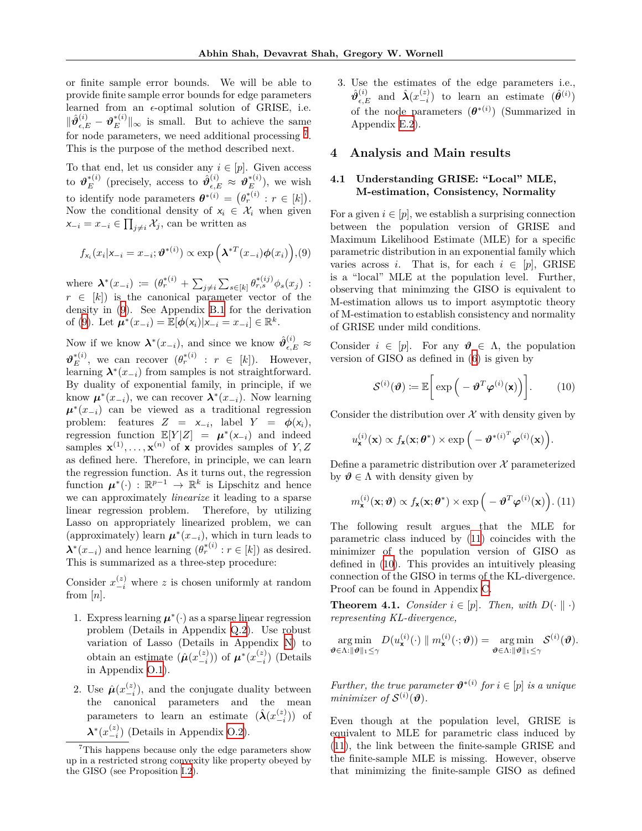or finite sample error bounds. We will be able to provide finite sample error bounds for edge parameters learned from an *ϵ*-optimal solution of GRISE, i.e.  $\|\hat{\theta}_{\epsilon,E}^{(i)} - \theta_E^{*(i)}\|_{\infty}$  is small. But to achieve the same for node parameters, we need additional processing  $^7$  $^7$ . This is the purpose of the method described next.

To that end, let us consider any  $i \in [p]$ . Given access to  $\boldsymbol{\vartheta}_E^{*(i)}$  (precisely, access to  $\hat{\boldsymbol{\vartheta}}_{\epsilon,E}^{(i)} \approx \boldsymbol{\vartheta}_E^{*(i)}$ ), we wish to identify node parameters  $\boldsymbol{\theta}^{*(i)} = (\theta_r^{*(i)} : r \in [k])$ . Now the conditional density of  $x_i \in \mathcal{X}_i$  when given *x*<sup>−*i*</sup> =  $x$ <sup>−*i*</sup>  $\in$   $\prod_{j \neq i}$   $\mathcal{X}_j$ , can be written as

$$
f_{x_i}(x_i|x_{-i}=x_{-i};\boldsymbol{\vartheta}^{*(i)}) \propto \exp\left(\boldsymbol{\lambda}^{*T}(x_{-i})\boldsymbol{\phi}(x_i)\right), (9)
$$

where  $\mathbf{\lambda}^*(x_{-i}) := (\theta_r^{*(i)} + \sum_{j \neq i} \sum_{s \in [k]} \theta_{r,s}^{*(ij)} \phi_s(x_j)$ :  $r \in [k]$ ) is the canonical parameter vector of the density in [\(9\)](#page-6-3). See Appendix B.1 for the derivation of [\(9](#page-6-3)). Let  $\mu^*(x_{-i}) = \mathbb{E}[\phi(x_i)|x_{-i} = x_{-i}] \in \mathbb{R}^k$ .

Now if we know  $\mathbf{\lambda}^*(x_{-i})$ , and since we know  $\hat{\theta}_{\epsilon,E}^{(i)} \approx$  $\mathbf{\vartheta}_E^{*(i)}$ , we can recover  $(\theta_r^{*(i)} : r \in [k])$ . However, learning  $\lambda^*(x_{-i})$  from samples is not straightforward. By duality of exponential family, in principle, if we know  $\boldsymbol{\mu}^*(x_{-i})$ , we can recover  $\boldsymbol{\lambda}^*(x_{-i})$ . Now learning  $\mu^*(x_{-i})$  can be viewed as a traditional regression problem: features  $Z = x_{-i}$ , label  $Y = \phi(x_i)$ , regression function  $\mathbb{E}[Y|Z] = \mu^*(x_{-i})$  and indeed samples  $\mathbf{x}^{(1)}, \ldots, \mathbf{x}^{(n)}$  of **x** provides samples of  $Y, Z$ as defined here. Therefore, in principle, we can learn the regression function. As it turns out, the regression function  $\mu^*(\cdot) : \mathbb{R}^{p-1} \to \mathbb{R}^k$  is Lipschitz and hence we can approximately *linearize* it leading to a sparse linear regression problem. Therefore, by utilizing Lasso on appropriately linearized problem, we can (approximately) learn  $\mu^*(x_{-i})$ , which in turn leads to  $\lambda^*(x_{-i})$  and hence learning  $(\theta_r^{*(i)} : r \in [k])$  as desired. This is summarized as a three-step procedure:

Consider  $x_{-i}^{(z)}$  where *z* is chosen uniformly at random from [*n*].

- 1. Express learning  $\mu^*(\cdot)$  as a sparse linear regression problem (Details in Appendix Q.2). Use robust variation of Lasso (Details in Appendix N) to obtain an estimate  $(\hat{\boldsymbol{\mu}}(x_{-i}^{(z)}))$  of  $\boldsymbol{\mu}^*(x_{-i}^{(z)})$  (Details in Appendix O.1).
- 2. Use  $\hat{\mu}(x-{\binom{z}{-i}})$ , and the conjugate duality between the canonical parameters and the mean parameters to learn an estimate  $(\hat{\lambda}(x-i-1}))$  of  $\lambda^*(x-2}^{(z)})$  (Details in Appendix O.2).

3. Use the estimates of the edge parameters i.e.,  $\hat{\boldsymbol{\theta}}_{\epsilon,E}^{(i)}$  and  $\hat{\boldsymbol{\lambda}}(x_{-i}^{(z)})$  to learn an estimate  $(\hat{\boldsymbol{\theta}}^{(i)})$ of the node parameters  $(\boldsymbol{\theta}^{*(i)})$  (Summarized in Appendix E.2).

### <span id="page-6-0"></span>**4 Analysis and Main results**

### **4.1 Understanding GRISE: "Local" MLE, M-estimation, Consistency, Normality**

<span id="page-6-3"></span>For a given  $i \in [p]$ , we establish a surprising connection between the population version of GRISE and Maximum Likelihood Estimate (MLE) for a specific parametric distribution in an exponential family which varies across *i*. That is, for each  $i \in [p]$ , GRISE is a "local" MLE at the population level. Further, observing that minimzing the GISO is equivalent to M-estimation allows us to import asymptotic theory of M-estimation to establish consistency and normality of GRISE under mild conditions.

Consider  $i \in [p]$ . For any  $\theta \in \Lambda$ , the population version of GISO as defined in [\(6](#page-5-3)) is given by

<span id="page-6-5"></span>
$$
\mathcal{S}^{(i)}(\boldsymbol{\vartheta}) \coloneqq \mathbb{E}\bigg[\exp\Big(-\boldsymbol{\vartheta}^T\boldsymbol{\varphi}^{(i)}(\mathbf{x})\Big)\bigg].\qquad(10)
$$

Consider the distribution over  $\mathcal X$  with density given by

$$
u_{\mathbf{x}}^{(i)}(\mathbf{x}) \propto f_{\mathbf{x}}(\mathbf{x}; \boldsymbol{\theta}^*) \times \exp\Big(-\boldsymbol{\vartheta}^{*(i)^T} \boldsymbol{\varphi}^{(i)}(\mathbf{x})\Big).
$$

Define a parametric distribution over  $\mathcal X$  parameterized by  $\vartheta \in \Lambda$  with density given by

<span id="page-6-4"></span>
$$
m_{\mathbf{x}}^{(i)}(\mathbf{x};\boldsymbol{\vartheta}) \propto f_{\mathbf{x}}(\mathbf{x};\boldsymbol{\theta}^*) \times \exp\left(-\boldsymbol{\vartheta}^T\boldsymbol{\varphi}^{(i)}(\mathbf{x})\right). (11)
$$

The following result argues that the MLE for parametric class induced by [\(11](#page-6-4)) coincides with the minimizer of the population version of GISO as defined in ([10\)](#page-6-5). This provides an intuitively pleasing connection of the GISO in terms of the KL-divergence. Proof can be found in Appendix C.

<span id="page-6-1"></span>**Theorem 4.1.** *Consider*  $i \in [p]$ *. Then, with*  $D(\cdot | \cdot)$ *representing KL-divergence,*

$$
\argmin_{\boldsymbol{\vartheta}\in\Lambda:\|\boldsymbol{\vartheta}\|_1\leq \gamma}D(u^{(i)}_{\mathbf{x}}(\cdot)\parallel m^{(i)}_{\mathbf{x}}(\cdot;\boldsymbol{\vartheta}))=\argmin_{\boldsymbol{\vartheta}\in\Lambda:\|\boldsymbol{\vartheta}\|_1\leq \gamma} \mathcal{S}^{(i)}(\boldsymbol{\vartheta}).
$$

*Further, the true parameter*  $\boldsymbol{\vartheta}^{*(i)}$  *for*  $i \in [p]$  *is a unique minimizer* of  $S^{(i)}(\boldsymbol{\vartheta})$ .

Even though at the population level, GRISE is equivalent to MLE for parametric class induced by ([11\)](#page-6-4), the link between the finite-sample GRISE and the finite-sample MLE is missing. However, observe that minimizing the finite-sample GISO as defined

<span id="page-6-2"></span><sup>7</sup>This happens because only the edge parameters show up in a restricted strong convexity like property obeyed by the GISO (see Proposition I.2).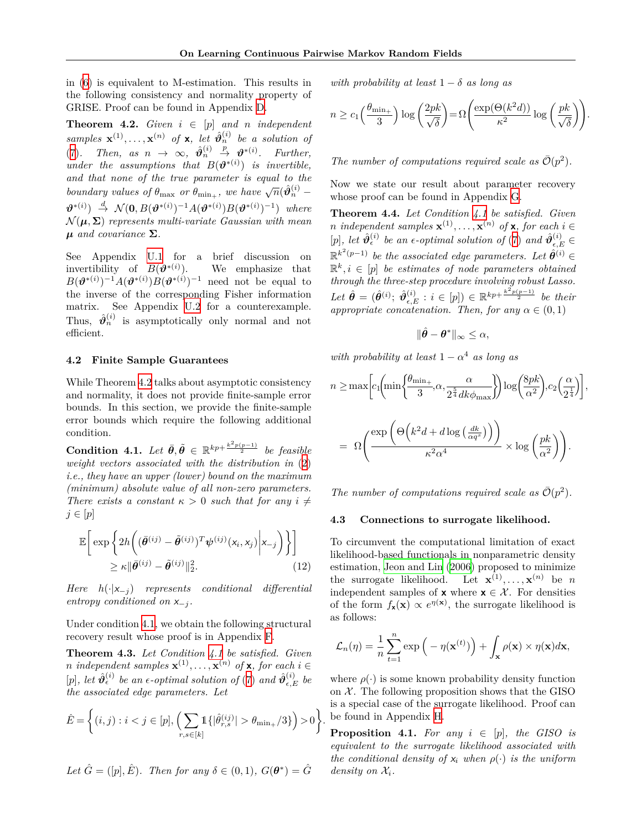in [\(6](#page-5-3)) is equivalent to M-estimation. This results in the following consistency and normality property of GRISE. Proof can be found in Appendix D.

<span id="page-7-2"></span>**Theorem 4.2.** *Given*  $i \in [p]$  *and n independent samples*  $\mathbf{x}^{(1)}, \ldots, \mathbf{x}^{(n)}$  of **x**, let  $\hat{\theta}_n^{(i)}$  be a solution of ([7\)](#page-5-2)*.* Then, as  $n \to \infty$ ,  $\hat{\vartheta}_n^{(i)} \stackrel{p}{\to} \vartheta^{*(i)}$ *. Further, under the assumptions that*  $B(\boldsymbol{\vartheta}^{*(i)})$  *is invertible, and that none of the true parameter is equal to the boundary values of*  $\theta_{\text{max}}$  *or*  $\theta_{\text{min}_{+}}$ , we have  $\sqrt{n}(\hat{\theta}_{n}^{(i)})$  $\theta^{*(i)}$   $\rightarrow \mathcal{N}(\mathbf{0}, B(\theta^{*(i)})^{-1}A(\theta^{*(i)})B(\theta^{*(i)})^{-1})$  where  $\mathcal{N}(\boldsymbol{\mu}, \boldsymbol{\Sigma})$  *represents multi-variate Gaussian with mean µ and covariance* **Σ***.*

See Appendix U.1 for a brief discussion on invertibility of  $B(\boldsymbol{\vartheta}^{*(i)})$ ). We emphasize that  $B(\boldsymbol{\vartheta}^{*(i)})^{-1}A(\boldsymbol{\vartheta}^{*(i)})B(\boldsymbol{\vartheta}^{*(i)})^{-1}$  need not be equal to the inverse of the corresponding Fisher information matrix. See Appendix U.2 for a counterexample. Thus,  $\hat{\theta}_n^{(i)}$  is asymptotically only normal and not efficient.

#### **4.2 Finite Sample Guarantees**

While Theorem [4.2](#page-7-2) talks about asymptotic consistency and normality, it does not provide finite-sample error bounds. In this section, we provide the finite-sample error bounds which require the following additional condition.

<span id="page-7-3"></span> $\textbf{Condition 4.1.} \ \textit{Let} \ \vec{\theta}, \vec{\theta} \in \mathbb{R}^{kp+\frac{k^2p(p-1)}{2}} \ \textit{be feasible}$ *weight vectors associated with the distribution in* [\(2](#page-4-2)) *i.e., they have an upper (lower) bound on the maximum (minimum) absolute value of all non-zero parameters. There exists a constant*  $\kappa > 0$  *such that for any*  $i \neq$ *j ∈* [*p*]

$$
\mathbb{E}\bigg[\exp\bigg\{2h\bigg((\bar{\theta}^{(ij)} - \tilde{\theta}^{(ij)})^T\psi^{(ij)}(x_i, x_j)\bigg| x_{-j}\bigg)\bigg\}\bigg]
$$
  

$$
\geq \kappa \|\bar{\theta}^{(ij)} - \tilde{\theta}^{(ij)}\|_2^2.
$$
 (12)

*Here h*(*·|x−<sup>j</sup>* ) *represents conditional differential entropy conditioned on*  $x_{-i}$ *.* 

Under condition [4.1,](#page-7-3) we obtain the following structural recovery result whose proof is in Appendix F.

<span id="page-7-0"></span>**Theorem 4.3.** *Let Condition [4.1](#page-7-3) be satisfied. Given n* independent samples  $\mathbf{x}^{(1)}, \ldots, \mathbf{x}^{(n)}$  of  $\mathbf{x}$ *, for each*  $i \in$  $[p]$ *, let*  $\hat{\vartheta}_{\epsilon}^{(i)}$  *be an*  $\epsilon$ -*optimal solution of* ([7\)](#page-5-2) *and*  $\hat{\vartheta}_{\epsilon,E}^{(i)}$  *be the associated edge parameters. Let*

$$
\hat{E} = \left\{ (i,j) : i < j \in [p], \left( \sum_{r,s \in [k]} 1\{|\hat{\theta}_{r,s}^{(ij)}| > \theta_{\min_+}/3\} \right) > 0 \right\}.
$$

*Let*  $\hat{G} = ([p], \hat{E})$ *. Then for any*  $\delta \in (0, 1)$ *,*  $G(\theta^*) = \hat{G}$ 

*with probability at least*  $1 - \delta$  *as long as* 

$$
n \geq c_1 \left(\frac{\theta_{\min_+}}{3}\right) \log \left(\frac{2pk}{\sqrt{\delta}}\right) = \Omega \left(\frac{\exp(\Theta(k^2d))}{\kappa^2} \log \left(\frac{pk}{\sqrt{\delta}}\right)\right).
$$

The number of computations required scale as  $\bar{\mathcal{O}}(p^2)$ .

Now we state our result about parameter recovery whose proof can be found in Appendix G.

<span id="page-7-1"></span>**Theorem 4.4.** *Let Condition [4.1](#page-7-3) be satisfied. Given n* independent samples  $\mathbf{x}^{(1)}, \ldots, \mathbf{x}^{(n)}$  of  $\mathbf{x}$ *, for each*  $i \in$  $[p]$ *, let*  $\hat{\boldsymbol{\vartheta}}_{\epsilon}^{(i)}$  be an  $\epsilon$ -optimal solution of ([7\)](#page-5-2) and  $\hat{\boldsymbol{\vartheta}}_{\epsilon,E}^{(i)} \in$  $\mathbb{R}^{k^2(p-1)}$  *be the associated edge parameters. Let*  $\hat{\theta}^{(i)}$   $\in$  $\mathbb{R}^k, i \in [p]$  *be estimates of node parameters obtained through the three-step procedure involving robust Lasso.*  $Let \ \hat{\theta} = (\hat{\theta}^{(i)}; \ \hat{\vartheta}_{\epsilon,E}^{(i)} : i \in [p]) \in \mathbb{R}^{kp + \frac{k^2 p(p-1)}{2}} \ be \ their$ *appropriate concatenation. Then, for any*  $\alpha \in (0,1)$ 

$$
\|\hat{\theta}-\theta^*\|_{\infty}\leq\alpha,
$$

*with probability at least*  $1 - \alpha^4$  *as long as* 

$$
n \ge \max \left[ c_1 \left( \min \left\{ \frac{\theta_{\min_+}}{3}, \alpha, \frac{\alpha}{2^{\frac{5}{4}} dk \phi_{\max}} \right\} \right) \log \left( \frac{8pk}{\alpha^2} \right), c_2 \left( \frac{\alpha}{2^{\frac{1}{4}}} \right) \right],
$$
  

$$
= \Omega \left( \frac{\exp \left( \Theta \left( k^2 d + d \log \left( \frac{dk}{\alpha q^s} \right) \right) \right)}{\kappa^2 \alpha^4} \times \log \left( \frac{pk}{\alpha^2} \right) \right).
$$

The number of computations required scale as  $\bar{\mathcal{O}}(p^2)$ .

#### <span id="page-7-4"></span>**4.3 Connections to surrogate likelihood.**

To circumvent the computational limitation of exact likelihood-based functionals in nonparametric density estimation, [Jeon and Lin](#page-9-8) [\(2006](#page-9-8)) proposed to minimize the surrogate likelihood. Let  $\mathbf{x}^{(1)}, \ldots, \mathbf{x}^{(n)}$  be *n* independent samples of **x** where  $\mathbf{x} \in \mathcal{X}$ . For densities of the form  $f_{\mathbf{x}}(\mathbf{x}) \propto e^{\eta(\mathbf{x})}$ , the surrogate likelihood is as follows:

$$
\mathcal{L}_n(\eta) = \frac{1}{n} \sum_{t=1}^n \exp\left(-\eta(\mathbf{x}^{(t)})\right) + \int_{\mathbf{x}} \rho(\mathbf{x}) \times \eta(\mathbf{x}) d\mathbf{x},
$$

where  $\rho(\cdot)$  is some known probability density function on  $X$ . The following proposition shows that the GISO is a special case of the surrogate likelihood. Proof can be found in Appendix H.

<span id="page-7-5"></span>**Proposition 4.1.** For any  $i \in [p]$ , the GISO is *equivalent to the surrogate likelihood associated with the conditional density of*  $x_i$  *when*  $\rho(\cdot)$  *is the uniform density on*  $\mathcal{X}_i$ *.*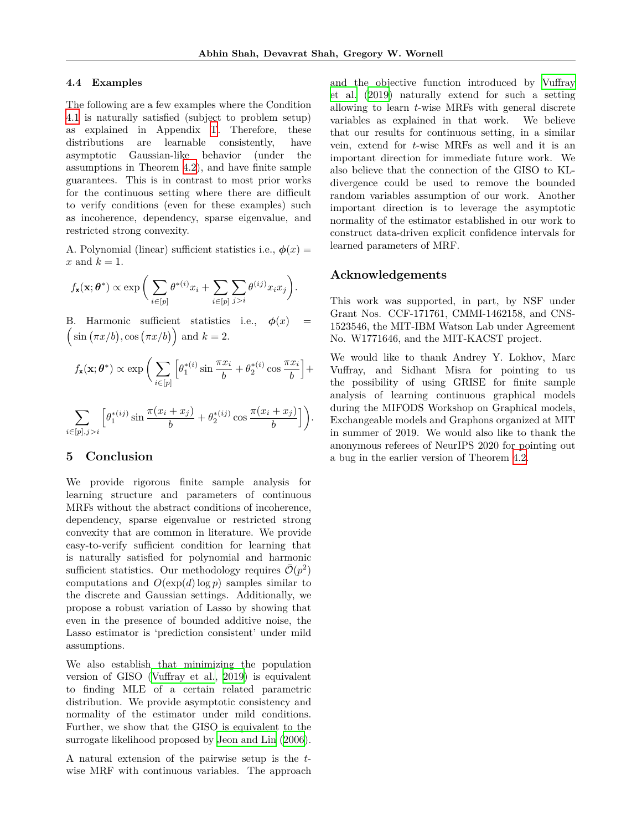#### <span id="page-8-0"></span>**4.4 Examples**

The following are a few examples where the Condition [4.1](#page-7-3) is naturally satisfied (subject to problem setup) as explained in Appendix T. Therefore, these distributions are learnable consistently, have asymptotic Gaussian-like behavior (under the assumptions in Theorem [4.2](#page-7-2)), and have finite sample guarantees. This is in contrast to most prior works for the continuous setting where there are difficult to verify conditions (even for these examples) such as incoherence, dependency, sparse eigenvalue, and restricted strong convexity.

A. Polynomial (linear) sufficient statistics i.e.,  $\phi(x) =$  $x$  and  $k = 1$ .

$$
f_{\mathbf{x}}(\mathbf{x};\boldsymbol{\theta}^*) \propto \exp\bigg(\sum_{i\in[p]}\theta^{*(i)}x_i + \sum_{i\in[p]}\sum_{j>i}\theta^{(ij)}x_ix_j\bigg).
$$

B. Harmonic sufficient statistics i.e.,  $\phi(x)$  $\left(\sin\left(\frac{\pi x}{b}\right),\cos\left(\frac{\pi x}{b}\right)\right)$  and  $k=2$ .

$$
f_{\mathbf{x}}(\mathbf{x};\boldsymbol{\theta}^*) \propto \exp\bigg(\sum_{i\in[p]}\Big[\theta_1^{*(i)}\sin\frac{\pi x_i}{b} + \theta_2^{*(i)}\cos\frac{\pi x_i}{b}\Big] +
$$

$$
\sum_{i\in[p],j>i}\Big[\theta_1^{*(ij)}\sin\frac{\pi(x_i+x_j)}{b} + \theta_2^{*(ij)}\cos\frac{\pi(x_i+x_j)}{b}\Big]\bigg).
$$

## <span id="page-8-1"></span>**5 Conclusion**

We provide rigorous finite sample analysis for learning structure and parameters of continuous MRFs without the abstract conditions of incoherence, dependency, sparse eigenvalue or restricted strong convexity that are common in literature. We provide easy-to-verify sufficient condition for learning that is naturally satisfied for polynomial and harmonic sufficient statistics. Our methodology requires  $\bar{\mathcal{O}}(p^2)$ computations and  $O(\exp(d) \log p)$  samples similar to the discrete and Gaussian settings. Additionally, we propose a robust variation of Lasso by showing that even in the presence of bounded additive noise, the Lasso estimator is 'prediction consistent' under mild assumptions.

We also establish that minimizing the population version of GISO ([Vuffray et al.](#page-10-0), [2019\)](#page-10-0) is equivalent to finding MLE of a certain related parametric distribution. We provide asymptotic consistency and normality of the estimator under mild conditions. Further, we show that the GISO is equivalent to the surrogate likelihood proposed by [Jeon and Lin](#page-9-8) [\(2006](#page-9-8)).

A natural extension of the pairwise setup is the *t*wise MRF with continuous variables. The approach and the objective function introduced by [Vuffray](#page-10-0) [et al.](#page-10-0) [\(2019\)](#page-10-0) naturally extend for such a setting allowing to learn *t*-wise MRFs with general discrete variables as explained in that work. We believe that our results for continuous setting, in a similar vein, extend for *t*-wise MRFs as well and it is an important direction for immediate future work. We also believe that the connection of the GISO to KLdivergence could be used to remove the bounded random variables assumption of our work. Another important direction is to leverage the asymptotic normality of the estimator established in our work to construct data-driven explicit confidence intervals for learned parameters of MRF.

### **Acknowledgements**

This work was supported, in part, by NSF under Grant Nos. CCF-171761, CMMI-1462158, and CNS-1523546, the MIT-IBM Watson Lab under Agreement No. W1771646, and the MIT-KACST project.

We would like to thank Andrey Y. Lokhov, Marc Vuffray, and Sidhant Misra for pointing to us the possibility of using GRISE for finite sample analysis of learning continuous graphical models during the MIFODS Workshop on Graphical models, Exchangeable models and Graphons organized at MIT in summer of 2019. We would also like to thank the anonymous referees of NeurIPS 2020 for pointing out a bug in the earlier version of Theorem [4.2.](#page-7-2)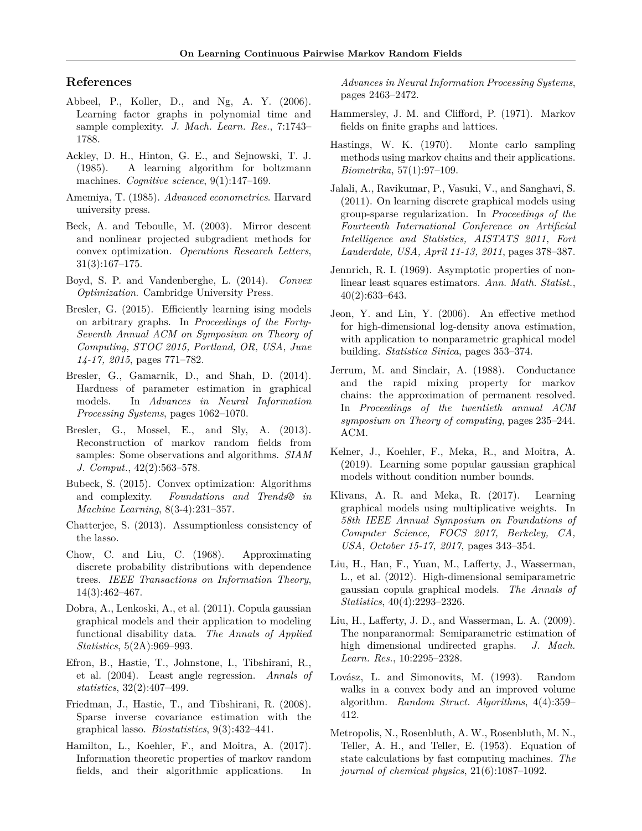### **References**

- <span id="page-9-1"></span>Abbeel, P., Koller, D., and Ng, A. Y. (2006). Learning factor graphs in polynomial time and sample complexity. *J. Mach. Learn. Res.*, 7:1743– 1788.
- <span id="page-9-2"></span>Ackley, D. H., Hinton, G. E., and Sejnowski, T. J. (1985). A learning algorithm for boltzmann machines. *Cognitive science*, 9(1):147–169.
- Amemiya, T. (1985). *Advanced econometrics*. Harvard university press.
- Beck, A. and Teboulle, M. (2003). Mirror descent and nonlinear projected subgradient methods for convex optimization. *Operations Research Letters*, 31(3):167–175.
- Boyd, S. P. and Vandenberghe, L. (2014). *Convex Optimization*. Cambridge University Press.
- <span id="page-9-3"></span>Bresler, G. (2015). Efficiently learning ising models on arbitrary graphs. In *Proceedings of the Forty-Seventh Annual ACM on Symposium on Theory of Computing, STOC 2015, Portland, OR, USA, June 14-17, 2015*, pages 771–782.
- Bresler, G., Gamarnik, D., and Shah, D. (2014). Hardness of parameter estimation in graphical models. In *Advances in Neural Information Processing Systems*, pages 1062–1070.
- <span id="page-9-4"></span>Bresler, G., Mossel, E., and Sly, A. (2013). Reconstruction of markov random fields from samples: Some observations and algorithms. *SIAM J. Comput.*, 42(2):563–578.
- Bubeck, S. (2015). Convex optimization: Algorithms and complexity. *Foundations and Trends® in Machine Learning*, 8(3-4):231–357.
- Chatterjee, S. (2013). Assumptionless consistency of the lasso.
- <span id="page-9-0"></span>Chow, C. and Liu, C. (1968). Approximating discrete probability distributions with dependence trees. *IEEE Transactions on Information Theory*, 14(3):462–467.
- <span id="page-9-11"></span>Dobra, A., Lenkoski, A., et al. (2011). Copula gaussian graphical models and their application to modeling functional disability data. *The Annals of Applied Statistics*, 5(2A):969–993.
- <span id="page-9-15"></span>Efron, B., Hastie, T., Johnstone, I., Tibshirani, R., et al. (2004). Least angle regression. *Annals of statistics*, 32(2):407–499.
- <span id="page-9-5"></span>Friedman, J., Hastie, T., and Tibshirani, R. (2008). Sparse inverse covariance estimation with the graphical lasso. *Biostatistics*, 9(3):432–441.
- <span id="page-9-9"></span>Hamilton, L., Koehler, F., and Moitra, A. (2017). Information theoretic properties of markov random fields, and their algorithmic applications. In

*Advances in Neural Information Processing Systems*, pages 2463–2472.

- <span id="page-9-14"></span>Hammersley, J. M. and Clifford, P. (1971). Markov fields on finite graphs and lattices.
- Hastings, W. K. (1970). Monte carlo sampling methods using markov chains and their applications. *Biometrika*, 57(1):97–109.
- <span id="page-9-13"></span>Jalali, A., Ravikumar, P., Vasuki, V., and Sanghavi, S. (2011). On learning discrete graphical models using group-sparse regularization. In *Proceedings of the Fourteenth International Conference on Artificial Intelligence and Statistics, AISTATS 2011, Fort Lauderdale, USA, April 11-13, 2011*, pages 378–387.
- Jennrich, R. I. (1969). Asymptotic properties of nonlinear least squares estimators. *Ann. Math. Statist.*, 40(2):633–643.
- <span id="page-9-8"></span>Jeon, Y. and Lin, Y. (2006). An effective method for high-dimensional log-density anova estimation, with application to nonparametric graphical model building. *Statistica Sinica*, pages 353–374.
- Jerrum, M. and Sinclair, A. (1988). Conductance and the rapid mixing property for markov chains: the approximation of permanent resolved. In *Proceedings of the twentieth annual ACM symposium on Theory of computing*, pages 235–244. ACM.
- <span id="page-9-6"></span>Kelner, J., Koehler, F., Meka, R., and Moitra, A. (2019). Learning some popular gaussian graphical models without condition number bounds.
- <span id="page-9-7"></span>Klivans, A. R. and Meka, R. (2017). Learning graphical models using multiplicative weights. In *58th IEEE Annual Symposium on Foundations of Computer Science, FOCS 2017, Berkeley, CA, USA, October 15-17, 2017*, pages 343–354.
- <span id="page-9-12"></span>Liu, H., Han, F., Yuan, M., Lafferty, J., Wasserman, L., et al. (2012). High-dimensional semiparametric gaussian copula graphical models. *The Annals of Statistics*, 40(4):2293–2326.
- <span id="page-9-10"></span>Liu, H., Lafferty, J. D., and Wasserman, L. A. (2009). The nonparanormal: Semiparametric estimation of high dimensional undirected graphs. *J. Mach. Learn. Res.*, 10:2295–2328.
- Lovász, L. and Simonovits, M. (1993). Random walks in a convex body and an improved volume algorithm. *Random Struct. Algorithms*, 4(4):359– 412.
- Metropolis, N., Rosenbluth, A. W., Rosenbluth, M. N., Teller, A. H., and Teller, E. (1953). Equation of state calculations by fast computing machines. *The journal of chemical physics*, 21(6):1087–1092.